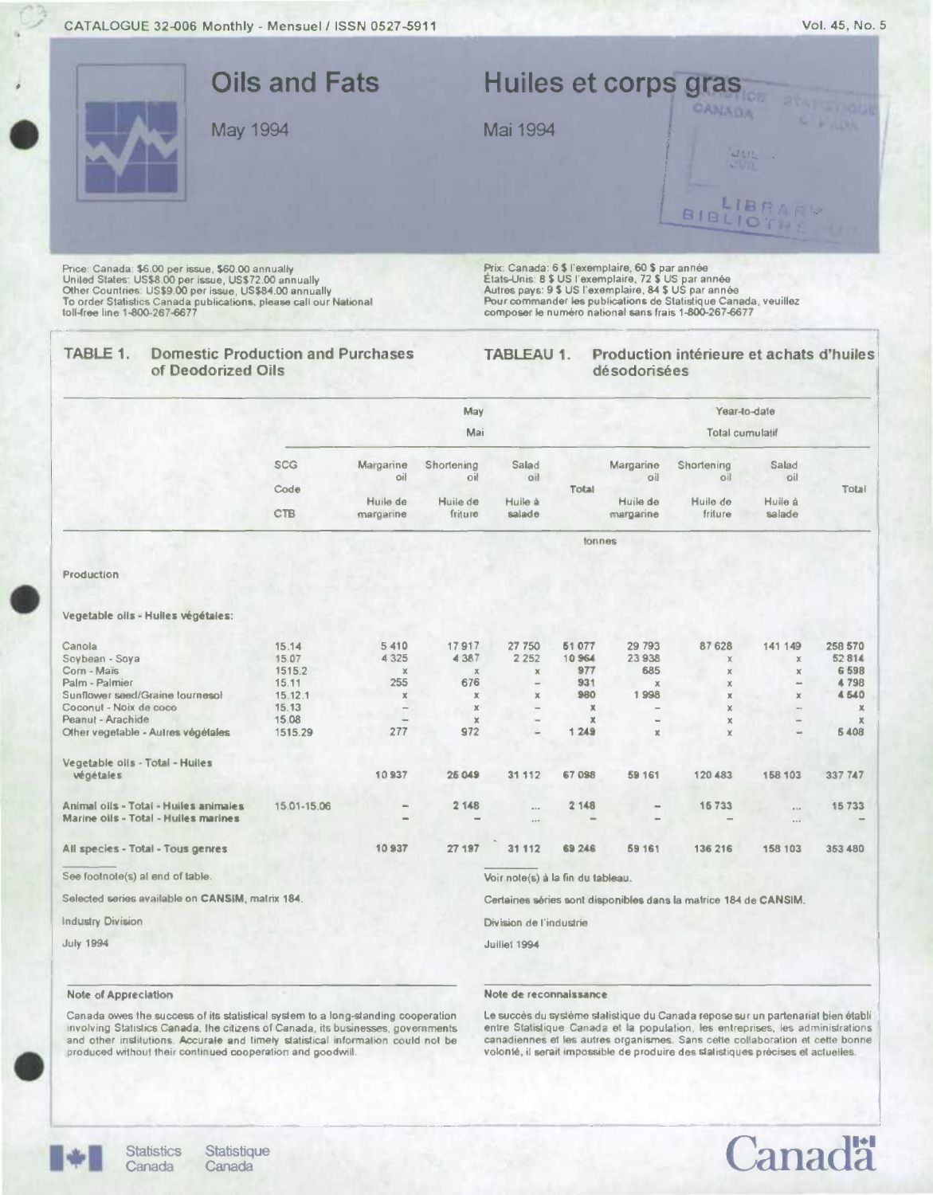CATALOGUE 32-006 Monthly - Mensuel / ISSN 0527-5911



|                                                  | May             |                      |                   |                                      |             | Year-to-date             |                                                                  |                          |              |
|--------------------------------------------------|-----------------|----------------------|-------------------|--------------------------------------|-------------|--------------------------|------------------------------------------------------------------|--------------------------|--------------|
|                                                  |                 |                      | Mai               |                                      |             |                          | <b>Total cumulatif</b>                                           |                          |              |
|                                                  | <b>SCG</b>      | Margarine<br>lio     | Shortening<br>oil | Salad<br>oil                         |             | Margarine<br>oil         | Shortening<br>oil                                                | Salad<br>oil             |              |
|                                                  | Code            | Huile de             | Huile de          | Huile à                              | Total       | Huile de                 | Huile de                                                         | Huile à                  | Total        |
|                                                  | <b>CTB</b>      | margarine            | friture           | salade                               |             | margarine                | friture                                                          | salade                   |              |
|                                                  |                 |                      |                   |                                      | tonnes      |                          |                                                                  |                          |              |
| Production                                       |                 |                      |                   |                                      |             |                          |                                                                  |                          |              |
| Vegetable oils - Hulles végétales:               |                 |                      |                   |                                      |             |                          |                                                                  |                          |              |
| Canola                                           | 15.14           | 5410                 | 17917             | 27 750                               | 51077       | 29 793                   | 87 628                                                           | 141 149                  | 258 570      |
| Soybean - Soya                                   | 15.07           | 4 3 2 5              | 4 3 8 7           | 2 2 5 2                              | 10964       | 23938                    | $\chi$                                                           | $\times$                 | 52814        |
| Corn - Maïs<br>Palm - Palmier                    | 1515.2<br>15.11 | $\mathbf x$<br>255   | $\times$<br>676   | $\mathbb X$                          | 977<br>931  | 685                      | $\mathbb{X}$                                                     | $\chi$<br>$\sim$         | 6598<br>4798 |
| Sunflower seed/Graine tournesol                  | 15.12.1         | ×                    | $\mathbf x$       | $\overline{\phantom{a}}$<br>$\times$ | 980         | $\mathbb X$<br>1998      | $\mathbb X$<br>$\mathbf x$                                       | $\chi$                   | 4 540        |
| Coconut - Noix de coco                           | 15.13           | $\ddot{\phantom{a}}$ | X                 | $\overline{\phantom{a}}$             | $\mathbf x$ | $\overline{\phantom{a}}$ | $\mathbf x$                                                      | $\sim$                   | x            |
| Peanut - Arachide                                | 15.08           | L                    | $\times$          |                                      | $\mathbf x$ |                          | $\times$                                                         |                          |              |
| Other vegetable - Autres végétales               | 1515.29         | 277                  | 972               |                                      | 1249        | $\times$                 | $\mathbf x$                                                      | $\overline{\phantom{a}}$ | 5 4 0 8      |
| Vegetable oils - Total - Huiles                  |                 |                      |                   |                                      |             |                          |                                                                  |                          |              |
| végétales                                        |                 | 10937                | 25 049            | 31 112                               | 67 098      | 59 161                   | 120 483                                                          | 158 103                  | 337 747      |
| Animal olls - Total - Huiles animales            | 15.01-15.06     | $\sim$               | 2 148             |                                      | 2 148       |                          | 15733                                                            | 0.10                     | 15733        |
| Marine oils - Total - Huiles marines             |                 |                      |                   | 1.14                                 |             |                          |                                                                  | $\cdots$                 |              |
| All species - Total - Tous genres                |                 | <b>10937</b>         | 27 197            | 31 112                               | 69 24 6     | 59 161                   | 136 216                                                          | 158 103                  | 353 480      |
| See footnote(s) al end of table.                 |                 |                      |                   | Voir note(s) à la fin du tableau.    |             |                          |                                                                  |                          |              |
| Selected series available on CANSIM, matrix 184. |                 |                      |                   |                                      |             |                          | Certaines séries sont disponibles dans la matrice 184 de CANSIM. |                          |              |
| <b>Industry Division</b>                         |                 |                      |                   | Division de l'industrie              |             |                          |                                                                  |                          |              |
| <b>July 1994</b>                                 |                 |                      |                   | Juillet 1994                         |             |                          |                                                                  |                          |              |
|                                                  |                 |                      |                   |                                      |             |                          |                                                                  |                          |              |

## Note of Appreciation

#### Note de reconnaissance

Canada owes the success of its statistical system to a long-standing cooperation involving Statistics Canada, the citizens of Canada, its businesses, governments and other institutions. Accurate and timely statistical information could not be produced without their continued cooperation and goodwill

Le succès du système statistique du Canada repose sur un partenariat bien établi entre Statistique Canada et la population, les entreprises, les administrations canadiennes et les autres organismes. Sans cette collaboration et cette bonne volonté, il serait impossible de produire des statistiques précises et actuelles



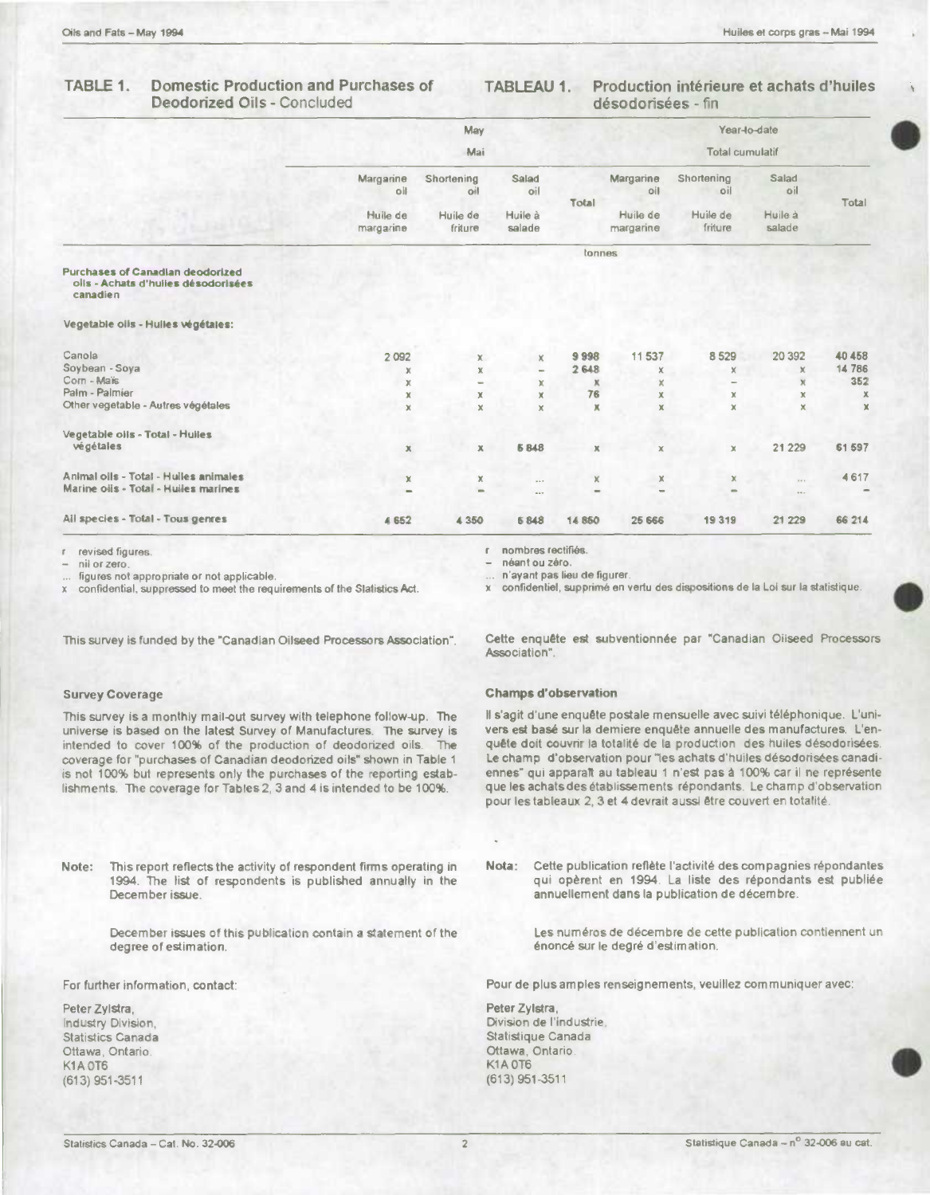### TABLE 1. **Domestic Production and Purchases of Deodorized Oils - Concluded**

### **TABLEAU 1.** Production intérieure et achats d'huiles désodorisées - fin

|                                                                                            |                       | May                 |                          |                          |                        |                     | Year-lo-date      |             |  |
|--------------------------------------------------------------------------------------------|-----------------------|---------------------|--------------------------|--------------------------|------------------------|---------------------|-------------------|-------------|--|
|                                                                                            | Mai                   |                     |                          |                          | <b>Total cumulatif</b> |                     |                   |             |  |
|                                                                                            | Margarine<br>oil      | Shortening<br>oil   | Salad<br>oil             | Total                    | Margarine<br>oil       | Shortening<br>oil   | Salad<br>oil      | Total       |  |
|                                                                                            | Huile de<br>margarine | Huile de<br>friture | Huile à<br>salade        |                          | Huile de<br>margarine  | Huile de<br>friture | Huile à<br>salade |             |  |
|                                                                                            |                       |                     |                          | tonnes                   |                        |                     |                   |             |  |
| <b>Purchases of Canadian deodorized</b><br>olis - Achats d'huiles désodorisées<br>canadien |                       |                     |                          |                          |                        |                     |                   |             |  |
| Vegetable olis - Hulles végétales:                                                         |                       |                     |                          |                          |                        |                     |                   |             |  |
| Canola                                                                                     | 2 0 9 2               | x                   | x                        | 9998                     | 11 537                 | 8529                | 20 392            | 40 458      |  |
| Soybean - Soya                                                                             | X                     | $\mathbb X$         | $\overline{\phantom{0}}$ | 2648                     | X                      | x                   | ×                 | 14 786      |  |
| Corn - Maïs                                                                                | x                     | $\equiv$            | x                        | Ж                        | x                      | ۰                   | $\overline{\chi}$ | 352         |  |
| Palm - Palmier                                                                             | $\mathbb X$           | $\mathbf x$         | $\mathbf x$              | 76                       | $\mathbf x$            | x                   | x                 | $\mathbb X$ |  |
| Other vegetable - Autres végétales                                                         | $\mathbf x$           | $\mathbf x$         | $\mathbf x$              | x                        | x                      | x                   | x                 | $\mathbf x$ |  |
| Vegetable oils - Total - Hulles                                                            |                       |                     |                          |                          |                        |                     |                   |             |  |
| végétales                                                                                  | $\mathbb X$           | $\mathbb X$         | 6848                     | $\mathbf x$              | $\mathbb X$            | $\mathbb X$         | 21 2 29           | 61 597      |  |
| Animal olls - Total - Huiles animales                                                      | x                     | $\mathbb X$         | $-1$                     | x                        | $\mathbb X$            | x                   | $\cdots$          | 4617        |  |
| Marine oils - Total - Huiles marines                                                       | ۰                     | $\equiv$            | $-1$                     | $\overline{\phantom{0}}$ |                        | $\equiv$            | $\cdots$          |             |  |
| All species - Total - Tous genres                                                          | 4 6 5 2               | 4 3 5 0             | 6848                     | 14 8 50                  | 25 666                 | 19319               | 21 229            | 66 214      |  |

r revised figures.

nii or zero.

figures not appropriate or not applicable.

confidential, suppressed to meet the requirements of the Slatistics Act.

This survey is funded by the "Canadian Oilseed Processors Association".

# **Survey Coverage**

This survey is a monthly mail-out survey with telephone follow-up. The universe is based on the latest Survey of Manufactures. The survey is intended to cover 100% of the production of deodorized oils. The coverage for "purchases of Canadian deodorized oils" shown in Table 1 is not 100% but represents only the purchases of the reporting establishments. The coverage for Tables 2, 3 and 4 is intended to be 100%.

Note: This report reflects the activity of respondent firms operating in 1994. The list of respondents is published annually in the December issue.

> December issues of this publication contain a statement of the degree of estimation.

For further information, contact:

Peter Zylstra, Industry Division, **Statistics Canada** Ottawa, Ontario. K1A OT6  $(613)$  951-3511

néant ou zéro. n'ayant pas lieu de figurer.

x confidentiel, supprimé en vertu des dispositions de la Loi sur la statistique.

Cette enquête est subventionnée par "Canadian Oilseed Processors Association".

## **Champs d'observation**

nombres rectifiés.

 $\mathbf{f}$ 

Il s'agit d'une enquête postale mensuelle avec suivi téléphonique. L'univers est basé sur la demiere enquête annuelle des manufactures. L'enquête doit couvrir la totalité de la production des huiles désodorisées. Le champ d'observation pour "les achats d'huiles désodorisées canadiennes" qui apparaît au tableau 1 n'est pas à 100% car il ne représente que les achats des établissements répondants. Le champ d'observation pour les tableaux 2, 3 et 4 devrait aussi être couvert en totalité.

Nota: Cette publication reflète l'activité des compagnies répondantes qui opèrent en 1994. La liste des répondants est publiée annuellement dans la publication de décembre.

> Les numéros de décembre de cette publication contiennent un énoncé sur le degré d'estimation.

Pour de plus amples renseignements, veuillez communiquer avec:

Peter Zylstra, Division de l'industrie, Statistique Canada Ottawa, Ontario. **K1A 0T6**  $(613)$  951-3511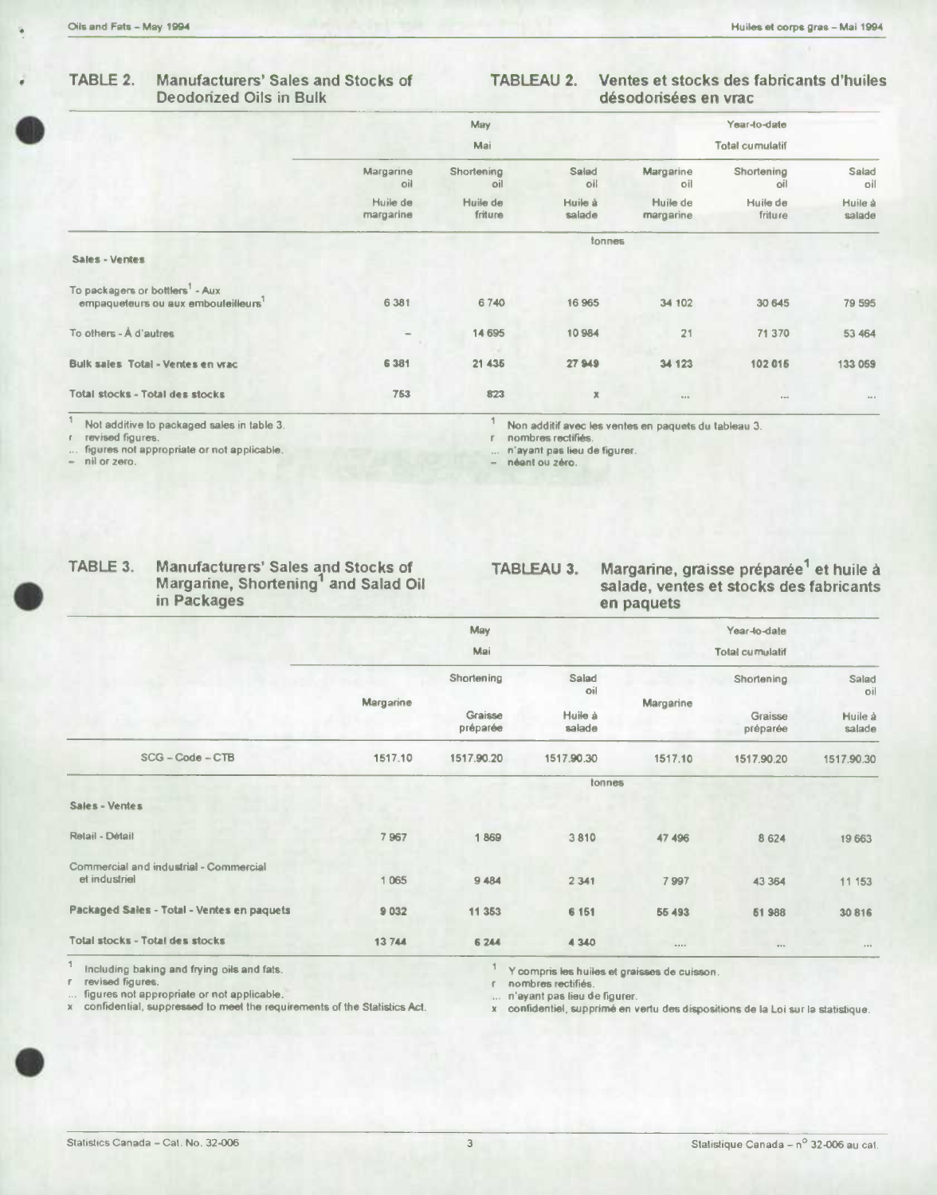### TABLE 2. **Manufacturers' Sales and Stocks of Deodorized Oils in Bulk**

### **TABLEAU 2.** Ventes et stocks des fabricants d'huiles désodorisées en vrac

|                                                                                   |                          | May                 |                   |                       | Year-to-date        |                   |
|-----------------------------------------------------------------------------------|--------------------------|---------------------|-------------------|-----------------------|---------------------|-------------------|
|                                                                                   |                          | Mai                 |                   |                       |                     |                   |
|                                                                                   | Margarine<br>oil         | Shortening<br>oil   | Salad<br>oil      | Margarine<br>oil      | Shortening<br>oil   | Salad<br>oil      |
|                                                                                   | Huile de<br>margarine    | Huile de<br>friture | Huile à<br>salade | Huile de<br>margarine | Huile de<br>friture | Huile à<br>salade |
|                                                                                   |                          |                     | tonnes            |                       |                     |                   |
| Sales - Ventes                                                                    |                          |                     |                   |                       |                     |                   |
| To packagers or bottlers <sup>1</sup> - Aux<br>empaqueteurs ou aux embouleilleurs | 6 381                    | 6740                | 16 965            | 34 102                | 30 645              | 79 595            |
| To others - A d'autres                                                            | $\overline{\phantom{a}}$ | 14 695              | 10984             | 21                    | 71 370              | 53 464            |
| Bulk sales Total - Ventes en vrac                                                 | 6 3 8 1                  | 21 435              | 27949             | 34 123                | 102 016             | 133 059           |
| Total stocks - Total des stocks                                                   | 753                      | 823                 | x                 |                       | 800                 | 40.5              |

 $\overline{\mathbf{1}}$ Not additive to packaged sales in table 3.

revised figures.  $\mathbf{r}$ 

figures not appropriate or not applicable.  $\ddot{\phantom{a}}$  $\overline{a}$ nil or zero.

Non additif avec les ventes en paquets du tableau 3.

r. nombres rectifiés

**TABLEAU 3.** 

 $\mathcal{I}$ 

n'ayant pas lieu de figurer.  $\cdots$ - néant ou zéro.

Manufacturers' Sales and Stocks of<br>Margarine, Shortening<sup>1</sup> and Salad Oil TABLE 3. in Packages

Margarine, graisse préparée<sup>1</sup> et huile à salade, ventes et stocks des fabricants en paquets

|                                                         |           | <b>May</b>          |                   |           | Year-to-date        |                   |
|---------------------------------------------------------|-----------|---------------------|-------------------|-----------|---------------------|-------------------|
|                                                         |           | Mai                 | Total cumulatif   |           |                     |                   |
|                                                         |           | Shortening          | Salad<br>oil      |           | Shortening          | Salad<br>oil      |
|                                                         | Margarine | Graisse<br>préparée | Huile à<br>salade | Margarine | Graisse<br>préparée | Huile à<br>salade |
| $SCG - Code - CTB$                                      | 1517.10   | 1517.90.20          | 1517.90.30        | 1517.10   | 1517.90.20          | 1517.90.30        |
|                                                         |           |                     | tonnes            |           |                     |                   |
| Sales - Ventes                                          |           |                     |                   |           |                     |                   |
| Retail - Détail                                         | 7967      | 1869                | 3810              | 47 496    | 8 6 2 4             | 19 663            |
| Commercial and industrial - Commercial<br>et industriel | 1 0 6 5   | 9 4 8 4             | 2 3 4 1           | 7997      | 43 3 64             | 11 153            |
| Packaged Sales - Total - Ventes en paquets              | 9032      | 11 3 5 3            | 6 1 5 1           | 55 493    | 61 988              | 30 816            |
| Total stocks - Total des stocks                         | 13744     | 6 244               | 4 3 4 0           |           | 0.015               | 8.68              |

 $\overline{\mathcal{L}}$ Including baking and frying oils and fats.

revised figures.  $\mathbb{F}$ 

... figures not appropriate or not applicable.<br>x confidential, suppressed to meet the requirements of the Statistics Act.

Y compris les huiles et graisses de cuisson.

 $\mathbb{F}^{\times}$ nombres rectifiés.

n'ayant pas lieu de figurer.

x confidentiel, supprimé en vertu des dispositions de la Loi sur la statistique.